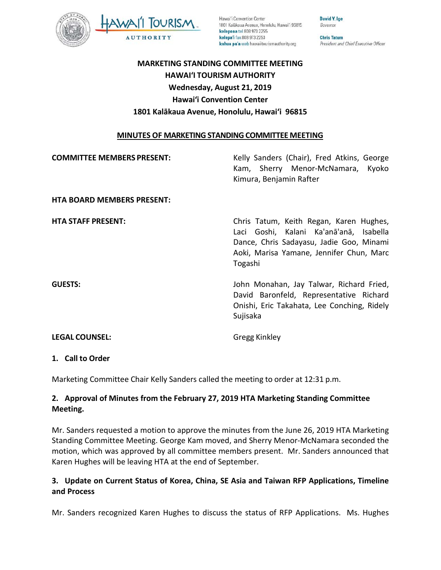

Hawai'i Convention Center 1801 Kalākaua Avenue, Honolulu, Hawai'i 96815 kelepona tel 808 973 2255 kelepa'i fax 808 973 2253 kahua pa'a web hawaiitourismauthority.org

Governor **Chris Tatum** President and Chief Executive Officer

David Y. Ige

# **MARKETING STANDING COMMITTEE MEETING HAWAI'I TOURISM AUTHORITY Wednesday, August 21, 2019 Hawai'i Convention Center 1801 Kalākaua Avenue, Honolulu, Hawai'i 96815**

#### **MINUTES OF MARKETING STANDING COMMITTEE MEETING**

| <b>COMMITTEE MEMBERS PRESENT:</b> | Kelly Sanders (Chair), Fred Atkins, George<br>Kam, Sherry Menor-McNamara, Kyoko<br>Kimura, Benjamin Rafter                                                                            |
|-----------------------------------|---------------------------------------------------------------------------------------------------------------------------------------------------------------------------------------|
| <b>HTA BOARD MEMBERS PRESENT:</b> |                                                                                                                                                                                       |
| <b>HTA STAFF PRESENT:</b>         | Chris Tatum, Keith Regan, Karen Hughes,<br>Laci Goshi, Kalani Ka'anā'anā, Isabella<br>Dance, Chris Sadayasu, Jadie Goo, Minami<br>Aoki, Marisa Yamane, Jennifer Chun, Marc<br>Togashi |
| <b>GUESTS:</b>                    | John Monahan, Jay Talwar, Richard Fried,<br>David Baronfeld, Representative Richard<br>Onishi, Eric Takahata, Lee Conching, Ridely<br>Sujisaka                                        |
| <b>LEGAL COUNSEL:</b>             | Gregg Kinkley                                                                                                                                                                         |

#### **1. Call to Order**

Marketing Committee Chair Kelly Sanders called the meeting to order at 12:31 p.m.

### **2. Approval of Minutes from the February 27, 2019 HTA Marketing Standing Committee Meeting.**

Mr. Sanders requested a motion to approve the minutes from the June 26, 2019 HTA Marketing Standing Committee Meeting. George Kam moved, and Sherry Menor-McNamara seconded the motion, which was approved by all committee members present. Mr. Sanders announced that Karen Hughes will be leaving HTA at the end of September.

### **3. Update on Current Status of Korea, China, SE Asia and Taiwan RFP Applications, Timeline and Process**

Mr. Sanders recognized Karen Hughes to discuss the status of RFP Applications. Ms. Hughes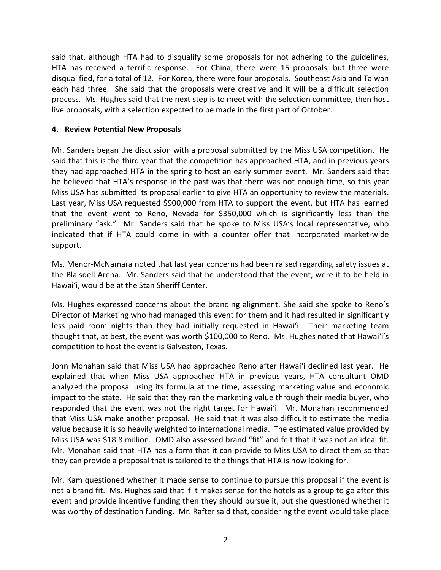said that, although HTA had to disqualify some proposals for not adhering to the guidelines, HTA has received a terrific response. For China, there were 15 proposals, but three were disqualified, for a total of 12. For Korea, there were four proposals. Southeast Asia and Taiwan each had three. She said that the proposals were creative and it will be a difficult selection process. Ms. Hughes said that the next step is to meet with the selection committee, then host live proposals, with a selection expected to be made in the first part of October.

#### **4. Review Potential New Proposals**

Mr. Sanders began the discussion with a proposal submitted by the Miss USA competition. He said that this is the third year that the competition has approached HTA, and in previous years they had approached HTA in the spring to host an early summer event. Mr. Sanders said that he believed that HTA's response in the past was that there was not enough time, so this year Miss USA has submitted its proposal earlier to give HTA an opportunity to review the materials. Last year, Miss USA requested \$900,000 from HTA to support the event, but HTA has learned that the event went to Reno, Nevada for \$350,000 which is significantly less than the preliminary "ask." Mr. Sanders said that he spoke to Miss USA's local representative, who indicated that if HTA could come in with a counter offer that incorporated market-wide support.

Ms. Menor-McNamara noted that last year concerns had been raised regarding safety issues at the Blaisdell Arena. Mr. Sanders said that he understood that the event, were it to be held in Hawai'i, would be at the Stan Sheriff Center.

Ms. Hughes expressed concerns about the branding alignment. She said she spoke to Reno's Director of Marketing who had managed this event for them and it had resulted in significantly less paid room nights than they had initially requested in Hawai'i. Their marketing team thought that, at best, the event was worth \$100,000 to Reno. Ms. Hughes noted that Hawai'i's competition to host the event is Galveston, Texas.

John Monahan said that Miss USA had approached Reno after Hawai'i declined last year. He explained that when Miss USA approached HTA in previous years, HTA consultant OMD analyzed the proposal using its formula at the time, assessing marketing value and economic impact to the state. He said that they ran the marketing value through their media buyer, who responded that the event was not the right target for Hawai'i. Mr. Monahan recommended that Miss USA make another proposal. He said that it was also difficult to estimate the media value because it is so heavily weighted to international media. The estimated value provided by Miss USA was \$18.8 million. OMD also assessed brand "fit" and felt that it was not an ideal fit. Mr. Monahan said that HTA has a form that it can provide to Miss USA to direct them so that they can provide a proposal that is tailored to the things that HTA is now looking for.

Mr. Kam questioned whether it made sense to continue to pursue this proposal if the event is not a brand fit. Ms. Hughes said that if it makes sense for the hotels as a group to go after this event and provide incentive funding then they should pursue it, but she questioned whether it was worthy of destination funding. Mr. Rafter said that, considering the event would take place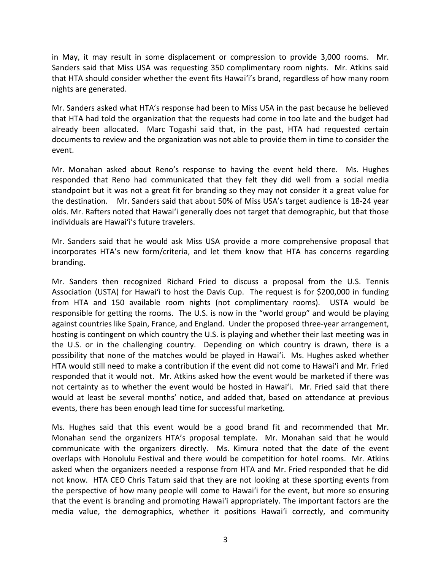in May, it may result in some displacement or compression to provide 3,000 rooms. Mr. Sanders said that Miss USA was requesting 350 complimentary room nights. Mr. Atkins said that HTA should consider whether the event fits Hawai'i's brand, regardless of how many room nights are generated.

Mr. Sanders asked what HTA's response had been to Miss USA in the past because he believed that HTA had told the organization that the requests had come in too late and the budget had already been allocated. Marc Togashi said that, in the past, HTA had requested certain documents to review and the organization was not able to provide them in time to consider the event.

Mr. Monahan asked about Reno's response to having the event held there. Ms. Hughes responded that Reno had communicated that they felt they did well from a social media standpoint but it was not a great fit for branding so they may not consider it a great value for the destination. Mr. Sanders said that about 50% of Miss USA's target audience is 18-24 year olds. Mr. Rafters noted that Hawai'i generally does not target that demographic, but that those individuals are Hawai'i's future travelers.

Mr. Sanders said that he would ask Miss USA provide a more comprehensive proposal that incorporates HTA's new form/criteria, and let them know that HTA has concerns regarding branding.

Mr. Sanders then recognized Richard Fried to discuss a proposal from the U.S. Tennis Association (USTA) for Hawai'i to host the Davis Cup. The request is for \$200,000 in funding from HTA and 150 available room nights (not complimentary rooms). USTA would be responsible for getting the rooms. The U.S. is now in the "world group" and would be playing against countries like Spain, France, and England. Under the proposed three-year arrangement, hosting is contingent on which country the U.S. is playing and whether their last meeting was in the U.S. or in the challenging country. Depending on which country is drawn, there is a possibility that none of the matches would be played in Hawai'i. Ms. Hughes asked whether HTA would still need to make a contribution if the event did not come to Hawai'i and Mr. Fried responded that it would not. Mr. Atkins asked how the event would be marketed if there was not certainty as to whether the event would be hosted in Hawai'i. Mr. Fried said that there would at least be several months' notice, and added that, based on attendance at previous events, there has been enough lead time for successful marketing.

Ms. Hughes said that this event would be a good brand fit and recommended that Mr. Monahan send the organizers HTA's proposal template. Mr. Monahan said that he would communicate with the organizers directly. Ms. Kimura noted that the date of the event overlaps with Honolulu Festival and there would be competition for hotel rooms. Mr. Atkins asked when the organizers needed a response from HTA and Mr. Fried responded that he did not know. HTA CEO Chris Tatum said that they are not looking at these sporting events from the perspective of how many people will come to Hawai'i for the event, but more so ensuring that the event is branding and promoting Hawai'i appropriately. The important factors are the media value, the demographics, whether it positions Hawai'i correctly, and community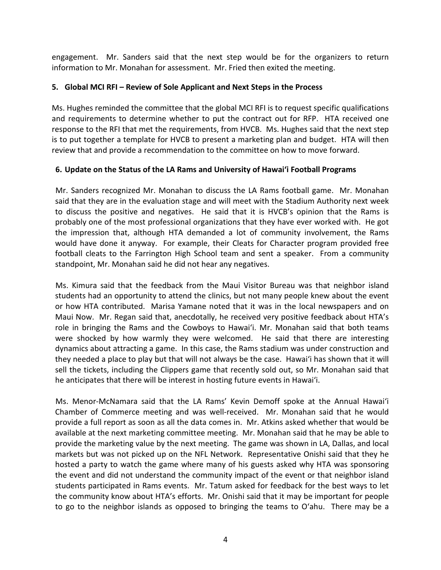engagement. Mr. Sanders said that the next step would be for the organizers to return information to Mr. Monahan for assessment. Mr. Fried then exited the meeting.

### **5. Global MCI RFI – Review of Sole Applicant and Next Steps in the Process**

Ms. Hughes reminded the committee that the global MCI RFI is to request specific qualifications and requirements to determine whether to put the contract out for RFP. HTA received one response to the RFI that met the requirements, from HVCB. Ms. Hughes said that the next step is to put together a template for HVCB to present a marketing plan and budget. HTA will then review that and provide a recommendation to the committee on how to move forward.

#### **6. Update on the Status of the LA Rams and University of Hawai'i Football Programs**

Mr. Sanders recognized Mr. Monahan to discuss the LA Rams football game. Mr. Monahan said that they are in the evaluation stage and will meet with the Stadium Authority next week to discuss the positive and negatives. He said that it is HVCB's opinion that the Rams is probably one of the most professional organizations that they have ever worked with. He got the impression that, although HTA demanded a lot of community involvement, the Rams would have done it anyway. For example, their Cleats for Character program provided free football cleats to the Farrington High School team and sent a speaker. From a community standpoint, Mr. Monahan said he did not hear any negatives.

Ms. Kimura said that the feedback from the Maui Visitor Bureau was that neighbor island students had an opportunity to attend the clinics, but not many people knew about the event or how HTA contributed. Marisa Yamane noted that it was in the local newspapers and on Maui Now. Mr. Regan said that, anecdotally, he received very positive feedback about HTA's role in bringing the Rams and the Cowboys to Hawai'i. Mr. Monahan said that both teams were shocked by how warmly they were welcomed. He said that there are interesting dynamics about attracting a game. In this case, the Rams stadium was under construction and they needed a place to play but that will not always be the case. Hawai'i has shown that it will sell the tickets, including the Clippers game that recently sold out, so Mr. Monahan said that he anticipates that there will be interest in hosting future events in Hawai'i.

Ms. Menor-McNamara said that the LA Rams' Kevin Demoff spoke at the Annual Hawai'i Chamber of Commerce meeting and was well-received. Mr. Monahan said that he would provide a full report as soon as all the data comes in. Mr. Atkins asked whether that would be available at the next marketing committee meeting. Mr. Monahan said that he may be able to provide the marketing value by the next meeting. The game was shown in LA, Dallas, and local markets but was not picked up on the NFL Network. Representative Onishi said that they he hosted a party to watch the game where many of his guests asked why HTA was sponsoring the event and did not understand the community impact of the event or that neighbor island students participated in Rams events. Mr. Tatum asked for feedback for the best ways to let the community know about HTA's efforts. Mr. Onishi said that it may be important for people to go to the neighbor islands as opposed to bringing the teams to Oʻahu. There may be a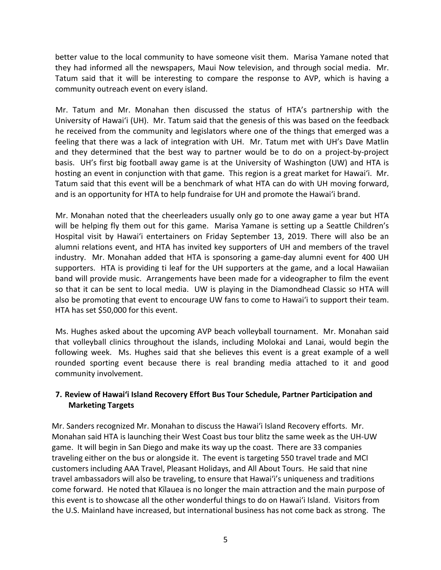better value to the local community to have someone visit them. Marisa Yamane noted that they had informed all the newspapers, Maui Now television, and through social media. Mr. Tatum said that it will be interesting to compare the response to AVP, which is having a community outreach event on every island.

Mr. Tatum and Mr. Monahan then discussed the status of HTA's partnership with the University of Hawai'i (UH). Mr. Tatum said that the genesis of this was based on the feedback he received from the community and legislators where one of the things that emerged was a feeling that there was a lack of integration with UH. Mr. Tatum met with UH's Dave Matlin and they determined that the best way to partner would be to do on a project-by-project basis. UH's first big football away game is at the University of Washington (UW) and HTA is hosting an event in conjunction with that game. This region is a great market for Hawai'i. Mr. Tatum said that this event will be a benchmark of what HTA can do with UH moving forward, and is an opportunity for HTA to help fundraise for UH and promote the Hawai'i brand.

Mr. Monahan noted that the cheerleaders usually only go to one away game a year but HTA will be helping fly them out for this game. Marisa Yamane is setting up a Seattle Children's Hospital visit by Hawai'i entertainers on Friday September 13, 2019. There will also be an alumni relations event, and HTA has invited key supporters of UH and members of the travel industry. Mr. Monahan added that HTA is sponsoring a game-day alumni event for 400 UH supporters. HTA is providing ti leaf for the UH supporters at the game, and a local Hawaiian band will provide music. Arrangements have been made for a videographer to film the event so that it can be sent to local media. UW is playing in the Diamondhead Classic so HTA will also be promoting that event to encourage UW fans to come to Hawai'i to support their team. HTA has set \$50,000 for this event.

Ms. Hughes asked about the upcoming AVP beach volleyball tournament. Mr. Monahan said that volleyball clinics throughout the islands, including Molokai and Lanai, would begin the following week. Ms. Hughes said that she believes this event is a great example of a well rounded sporting event because there is real branding media attached to it and good community involvement.

## **7. Review of Hawai'i Island Recovery Effort Bus Tour Schedule, Partner Participation and Marketing Targets**

Mr. Sanders recognized Mr. Monahan to discuss the Hawai'i Island Recovery efforts. Mr. Monahan said HTA is launching their West Coast bus tour blitz the same week as the UH-UW game. It will begin in San Diego and make its way up the coast. There are 33 companies traveling either on the bus or alongside it. The event is targeting 550 travel trade and MCI customers including AAA Travel, Pleasant Holidays, and All About Tours. He said that nine travel ambassadors will also be traveling, to ensure that Hawai'i's uniqueness and traditions come forward. He noted that Kīlauea is no longer the main attraction and the main purpose of this event is to showcase all the other wonderful things to do on Hawai'i Island. Visitors from the U.S. Mainland have increased, but international business has not come back as strong. The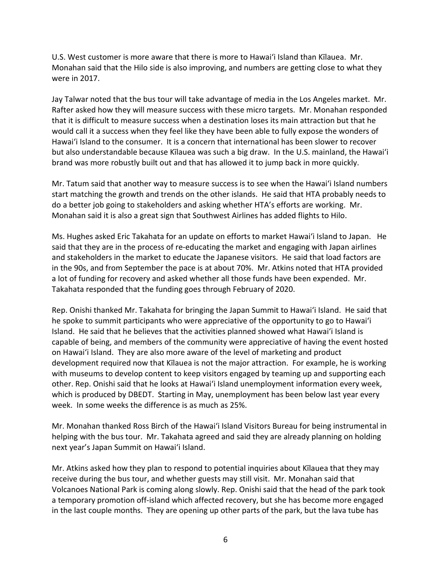U.S. West customer is more aware that there is more to Hawai'i Island than Kīlauea. Mr. Monahan said that the Hilo side is also improving, and numbers are getting close to what they were in 2017.

Jay Talwar noted that the bus tour will take advantage of media in the Los Angeles market. Mr. Rafter asked how they will measure success with these micro targets. Mr. Monahan responded that it is difficult to measure success when a destination loses its main attraction but that he would call it a success when they feel like they have been able to fully expose the wonders of Hawai'i Island to the consumer. It is a concern that international has been slower to recover but also understandable because Kīlauea was such a big draw. In the U.S. mainland, the Hawai'i brand was more robustly built out and that has allowed it to jump back in more quickly.

Mr. Tatum said that another way to measure success is to see when the Hawai'i Island numbers start matching the growth and trends on the other islands. He said that HTA probably needs to do a better job going to stakeholders and asking whether HTA's efforts are working. Mr. Monahan said it is also a great sign that Southwest Airlines has added flights to Hilo.

Ms. Hughes asked Eric Takahata for an update on efforts to market Hawai'i Island to Japan. He said that they are in the process of re-educating the market and engaging with Japan airlines and stakeholders in the market to educate the Japanese visitors. He said that load factors are in the 90s, and from September the pace is at about 70%. Mr. Atkins noted that HTA provided a lot of funding for recovery and asked whether all those funds have been expended. Mr. Takahata responded that the funding goes through February of 2020.

Rep. Onishi thanked Mr. Takahata for bringing the Japan Summit to Hawai'i Island. He said that he spoke to summit participants who were appreciative of the opportunity to go to Hawai'i Island. He said that he believes that the activities planned showed what Hawai'i Island is capable of being, and members of the community were appreciative of having the event hosted on Hawai'i Island. They are also more aware of the level of marketing and product development required now that Kīlauea is not the major attraction. For example, he is working with museums to develop content to keep visitors engaged by teaming up and supporting each other. Rep. Onishi said that he looks at Hawai'i Island unemployment information every week, which is produced by DBEDT. Starting in May, unemployment has been below last year every week. In some weeks the difference is as much as 25%.

Mr. Monahan thanked Ross Birch of the Hawai'i Island Visitors Bureau for being instrumental in helping with the bus tour. Mr. Takahata agreed and said they are already planning on holding next year's Japan Summit on Hawai'i Island.

Mr. Atkins asked how they plan to respond to potential inquiries about Kīlauea that they may receive during the bus tour, and whether guests may still visit. Mr. Monahan said that Volcanoes National Park is coming along slowly. Rep. Onishi said that the head of the park took a temporary promotion off-island which affected recovery, but she has become more engaged in the last couple months. They are opening up other parts of the park, but the lava tube has